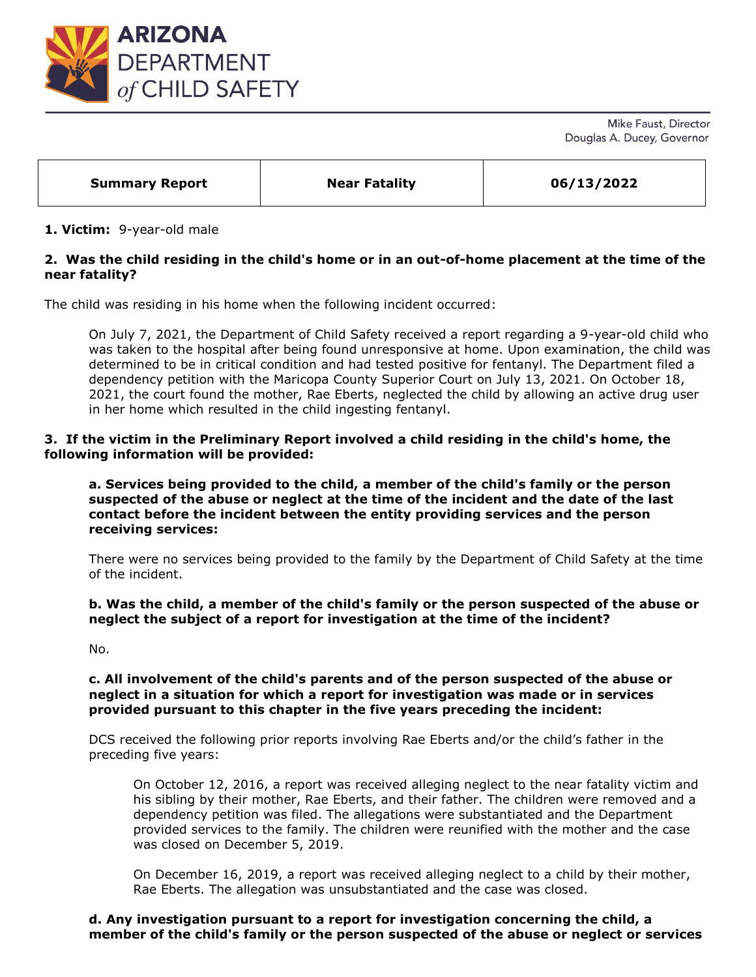

Mike Faust, Director Douglas A. Ducey, Governor

| 06/13/2022<br><b>Near Fatality</b><br><b>Summary Report</b> |
|-------------------------------------------------------------|
|-------------------------------------------------------------|

## **1. Victim:** 9-year-old male

# **2. Was the child residing in the child's home or in an out-of-home placement at the time of the near fatality?**

The child was residing in his home when the following incident occurred:

On July 7, 2021, the Department of Child Safety received a report regarding a 9-year-old child who was taken to the hospital after being found unresponsive at home. Upon examination, the child was determined to be in critical condition and had tested positive for fentanyl. The Department filed a dependency petition with the Maricopa County Superior Court on July 13, 2021. On October 18, 2021, the court found the mother, Rae Eberts, neglected the child by allowing an active drug user in her home which resulted in the child ingesting fentanyl.

### **3. If the victim in the Preliminary Report involved a child residing in the child's home, the following information will be provided:**

**a. Services being provided to the child, a member of the child's family or the person suspected of the abuse or neglect at the time of the incident and the date of the last contact before the incident between the entity providing services and the person receiving services:** 

There were no services being provided to the family by the Department of Child Safety at the time of the incident.

#### **b. Was the child, a member of the child's family or the person suspected of the abuse or neglect the subject of a report for investigation at the time of the incident?**

No.

### **c. All involvement of the child's parents and of the person suspected of the abuse or neglect in a situation for which a report for investigation was made or in services provided pursuant to this chapter in the five years preceding the incident:**

DCS received the following prior reports involving Rae Eberts and/or the child's father in the preceding five years:

On October 12, 2016, a report was received alleging neglect to the near fatality victim and his sibling by their mother, Rae Eberts, and their father. The children were removed and a dependency petition was filed. The allegations were substantiated and the Department provided services to the family. The children were reunified with the mother and the case was closed on December 5, 2019.

On December 16, 2019, a report was received alleging neglect to a child by their mother, Rae Eberts. The allegation was unsubstantiated and the case was closed.

## **d. Any investigation pursuant to a report for investigation concerning the child, a member of the child's family or the person suspected of the abuse or neglect or services**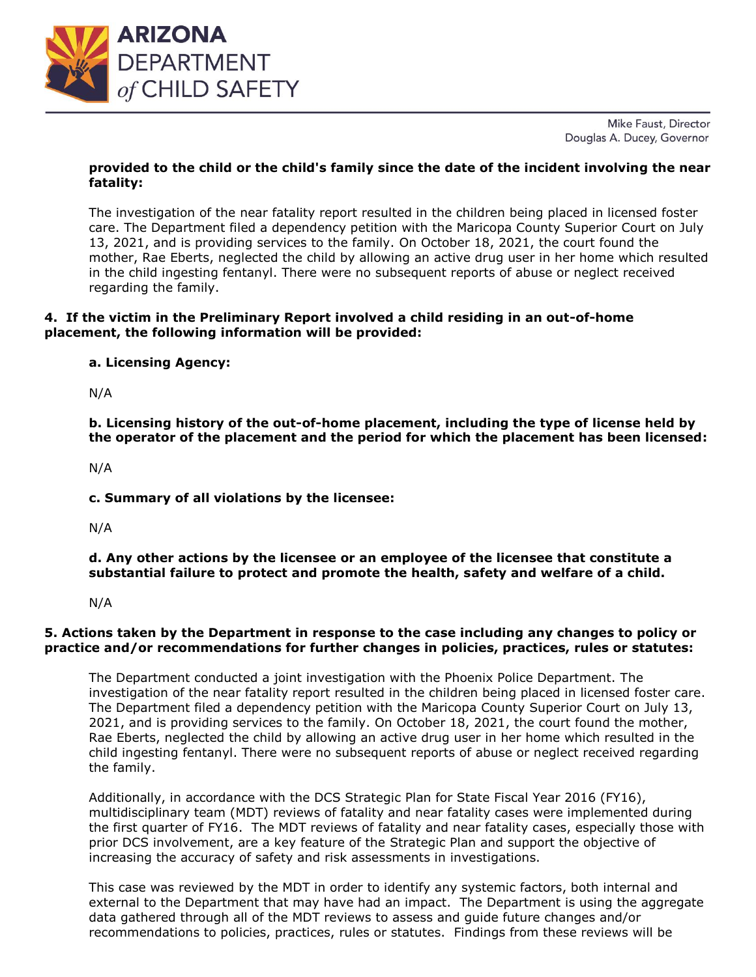

Mike Faust, Director Douglas A. Ducey, Governor

# **provided to the child or the child's family since the date of the incident involving the near fatality:**

The investigation of the near fatality report resulted in the children being placed in licensed foster care. The Department filed a dependency petition with the Maricopa County Superior Court on July 13, 2021, and is providing services to the family. On October 18, 2021, the court found the mother, Rae Eberts, neglected the child by allowing an active drug user in her home which resulted in the child ingesting fentanyl. There were no subsequent reports of abuse or neglect received regarding the family.

# **4. If the victim in the Preliminary Report involved a child residing in an out-of-home placement, the following information will be provided:**

# **a. Licensing Agency:**

N/A

**b. Licensing history of the out-of-home placement, including the type of license held by the operator of the placement and the period for which the placement has been licensed:** 

N/A

**c. Summary of all violations by the licensee:** 

N/A

**d. Any other actions by the licensee or an employee of the licensee that constitute a substantial failure to protect and promote the health, safety and welfare of a child.**

N/A

# **5. Actions taken by the Department in response to the case including any changes to policy or practice and/or recommendations for further changes in policies, practices, rules or statutes:**

The Department conducted a joint investigation with the Phoenix Police Department. The investigation of the near fatality report resulted in the children being placed in licensed foster care. The Department filed a dependency petition with the Maricopa County Superior Court on July 13, 2021, and is providing services to the family. On October 18, 2021, the court found the mother, Rae Eberts, neglected the child by allowing an active drug user in her home which resulted in the child ingesting fentanyl. There were no subsequent reports of abuse or neglect received regarding the family.

Additionally, in accordance with the DCS Strategic Plan for State Fiscal Year 2016 (FY16), multidisciplinary team (MDT) reviews of fatality and near fatality cases were implemented during the first quarter of FY16. The MDT reviews of fatality and near fatality cases, especially those with prior DCS involvement, are a key feature of the Strategic Plan and support the objective of increasing the accuracy of safety and risk assessments in investigations.

This case was reviewed by the MDT in order to identify any systemic factors, both internal and external to the Department that may have had an impact. The Department is using the aggregate data gathered through all of the MDT reviews to assess and guide future changes and/or recommendations to policies, practices, rules or statutes. Findings from these reviews will be